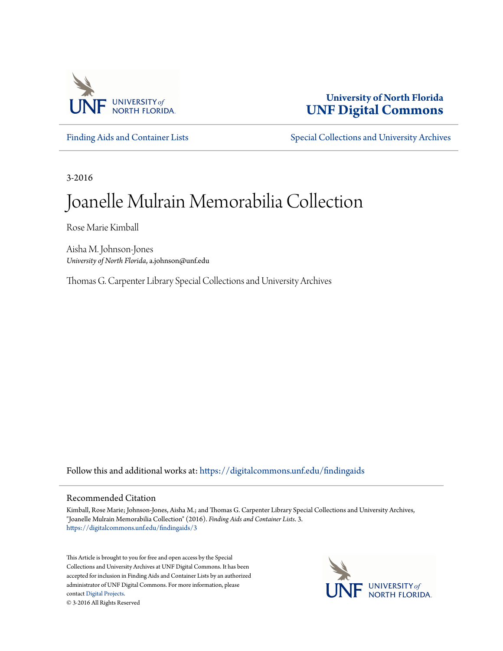

# **University of North Florida [UNF Digital Commons](https://digitalcommons.unf.edu?utm_source=digitalcommons.unf.edu%2Ffindingaids%2F3&utm_medium=PDF&utm_campaign=PDFCoverPages)**

[Finding Aids and Container Lists](https://digitalcommons.unf.edu/findingaids?utm_source=digitalcommons.unf.edu%2Ffindingaids%2F3&utm_medium=PDF&utm_campaign=PDFCoverPages) [Special Collections and University Archives](https://digitalcommons.unf.edu/spec_coll?utm_source=digitalcommons.unf.edu%2Ffindingaids%2F3&utm_medium=PDF&utm_campaign=PDFCoverPages)

3-2016

# Joanelle Mulrain Memorabilia Collection

Rose Marie Kimball

Aisha M. Johnson-Jones *University of North Florida*, a.johnson@unf.edu

Thomas G. Carpenter Library Special Collections and University Archives

Follow this and additional works at: [https://digitalcommons.unf.edu/findingaids](https://digitalcommons.unf.edu/findingaids?utm_source=digitalcommons.unf.edu%2Ffindingaids%2F3&utm_medium=PDF&utm_campaign=PDFCoverPages)

#### Recommended Citation

Kimball, Rose Marie; Johnson-Jones, Aisha M.; and Thomas G. Carpenter Library Special Collections and University Archives, "Joanelle Mulrain Memorabilia Collection" (2016). *Finding Aids and Container Lists*. 3. [https://digitalcommons.unf.edu/findingaids/3](https://digitalcommons.unf.edu/findingaids/3?utm_source=digitalcommons.unf.edu%2Ffindingaids%2F3&utm_medium=PDF&utm_campaign=PDFCoverPages)

This Article is brought to you for free and open access by the Special Collections and University Archives at UNF Digital Commons. It has been accepted for inclusion in Finding Aids and Container Lists by an authorized administrator of UNF Digital Commons. For more information, please contact [Digital Projects.](mailto:lib-digital@unf.edu) © 3-2016 All Rights Reserved

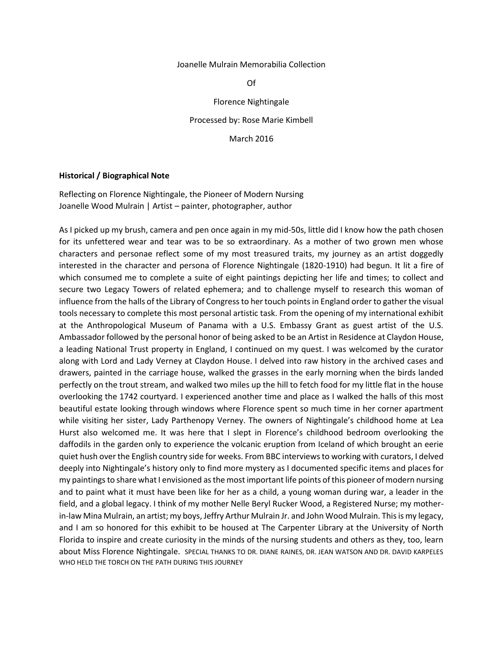#### Joanelle Mulrain Memorabilia Collection

Of

Florence Nightingale

Processed by: Rose Marie Kimbell

March 2016

#### **Historical / Biographical Note**

Reflecting on Florence Nightingale, the Pioneer of Modern Nursing Joanelle Wood Mulrain | Artist – painter, photographer, author

As I picked up my brush, camera and pen once again in my mid-50s, little did I know how the path chosen for its unfettered wear and tear was to be so extraordinary. As a mother of two grown men whose characters and personae reflect some of my most treasured traits, my journey as an artist doggedly interested in the character and persona of Florence Nightingale (1820-1910) had begun. It lit a fire of which consumed me to complete a suite of eight paintings depicting her life and times; to collect and secure two Legacy Towers of related ephemera; and to challenge myself to research this woman of influence from the halls of the Library of Congress to her touch points in England order to gather the visual tools necessary to complete this most personal artistic task. From the opening of my international exhibit at the Anthropological Museum of Panama with a U.S. Embassy Grant as guest artist of the U.S. Ambassador followed by the personal honor of being asked to be an Artist in Residence at Claydon House, a leading National Trust property in England, I continued on my quest. I was welcomed by the curator along with Lord and Lady Verney at Claydon House. I delved into raw history in the archived cases and drawers, painted in the carriage house, walked the grasses in the early morning when the birds landed perfectly on the trout stream, and walked two miles up the hill to fetch food for my little flat in the house overlooking the 1742 courtyard. I experienced another time and place as I walked the halls of this most beautiful estate looking through windows where Florence spent so much time in her corner apartment while visiting her sister, Lady Parthenopy Verney. The owners of Nightingale's childhood home at Lea Hurst also welcomed me. It was here that I slept in Florence's childhood bedroom overlooking the daffodils in the garden only to experience the volcanic eruption from Iceland of which brought an eerie quiet hush over the English country side for weeks. From BBC interviews to working with curators, I delved deeply into Nightingale's history only to find more mystery as I documented specific items and places for my paintings to share what I envisioned as the most important life points of this pioneer of modern nursing and to paint what it must have been like for her as a child, a young woman during war, a leader in the field, and a global legacy. I think of my mother Nelle Beryl Rucker Wood, a Registered Nurse; my motherin-law Mina Mulrain, an artist; my boys, Jeffry Arthur Mulrain Jr. and John Wood Mulrain. This is my legacy, and I am so honored for this exhibit to be housed at The Carpenter Library at the University of North Florida to inspire and create curiosity in the minds of the nursing students and others as they, too, learn about Miss Florence Nightingale. SPECIAL THANKS TO DR. DIANE RAINES, DR. JEAN WATSON AND DR. DAVID KARPELES WHO HELD THE TORCH ON THE PATH DURING THIS JOURNEY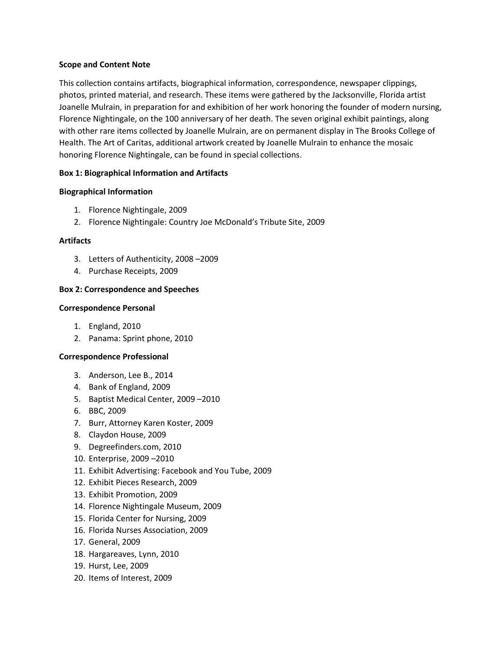#### **Scope and Content Note**

This collection contains artifacts, biographical information, correspondence, newspaper clippings, photos, printed material, and research. These items were gathered by the Jacksonville, Florida artist Joanelle Mulrain, in preparation for and exhibition of her work honoring the founder of modern nursing, Florence Nightingale, on the 100 anniversary of her death. The seven original exhibit paintings, along with other rare items collected by Joanelle Mulrain, are on permanent display in The Brooks College of Health. The Art of Caritas, additional artwork created by Joanelle Mulrain to enhance the mosaic honoring Florence Nightingale, can be found in special collections.

## **Box 1: Biographical Information and Artifacts**

## **Biographical Information**

- 1. Florence Nightingale, 2009
- 2. Florence Nightingale: Country Joe McDonald's Tribute Site, 2009

# **Artifacts**

- 3. Letters of Authenticity, 2008 –2009
- 4. Purchase Receipts, 2009

# **Box 2: Correspondence and Speeches**

## **Correspondence Personal**

- 1. England, 2010
- 2. Panama: Sprint phone, 2010

# **Correspondence Professional**

- 3. Anderson, Lee B., 2014
- 4. Bank of England, 2009
- 5. Baptist Medical Center, 2009 –2010
- 6. BBC, 2009
- 7. Burr, Attorney Karen Koster, 2009
- 8. Claydon House, 2009
- 9. Degreefinders.com, 2010
- 10. Enterprise, 2009 –2010
- 11. Exhibit Advertising: Facebook and You Tube, 2009
- 12. Exhibit Pieces Research, 2009
- 13. Exhibit Promotion, 2009
- 14. Florence Nightingale Museum, 2009
- 15. Florida Center for Nursing, 2009
- 16. Florida Nurses Association, 2009
- 17. General, 2009
- 18. Hargareaves, Lynn, 2010
- 19. Hurst, Lee, 2009
- 20. Items of Interest, 2009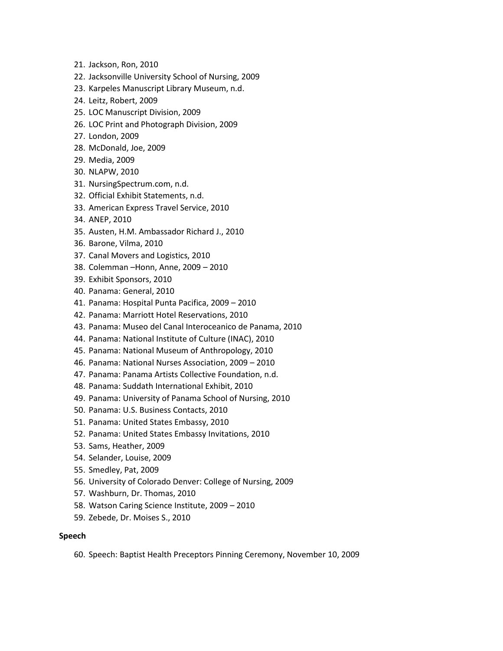- 21. Jackson, Ron, 2010
- 22. Jacksonville University School of Nursing, 2009
- 23. Karpeles Manuscript Library Museum, n.d.
- 24. Leitz, Robert, 2009
- 25. LOC Manuscript Division, 2009
- 26. LOC Print and Photograph Division, 2009
- 27. London, 2009
- 28. McDonald, Joe, 2009
- 29. Media, 2009
- 30. NLAPW, 2010
- 31. NursingSpectrum.com, n.d.
- 32. Official Exhibit Statements, n.d.
- 33. American Express Travel Service, 2010
- 34. ANEP, 2010
- 35. Austen, H.M. Ambassador Richard J., 2010
- 36. Barone, Vilma, 2010
- 37. Canal Movers and Logistics, 2010
- 38. Colemman –Honn, Anne, 2009 2010
- 39. Exhibit Sponsors, 2010
- 40. Panama: General, 2010
- 41. Panama: Hospital Punta Pacifica, 2009 2010
- 42. Panama: Marriott Hotel Reservations, 2010
- 43. Panama: Museo del Canal Interoceanico de Panama, 2010
- 44. Panama: National Institute of Culture (INAC), 2010
- 45. Panama: National Museum of Anthropology, 2010
- 46. Panama: National Nurses Association, 2009 2010
- 47. Panama: Panama Artists Collective Foundation, n.d.
- 48. Panama: Suddath International Exhibit, 2010
- 49. Panama: University of Panama School of Nursing, 2010
- 50. Panama: U.S. Business Contacts, 2010
- 51. Panama: United States Embassy, 2010
- 52. Panama: United States Embassy Invitations, 2010
- 53. Sams, Heather, 2009
- 54. Selander, Louise, 2009
- 55. Smedley, Pat, 2009
- 56. University of Colorado Denver: College of Nursing, 2009
- 57. Washburn, Dr. Thomas, 2010
- 58. Watson Caring Science Institute, 2009 2010
- 59. Zebede, Dr. Moises S., 2010

## **Speech**

60. Speech: Baptist Health Preceptors Pinning Ceremony, November 10, 2009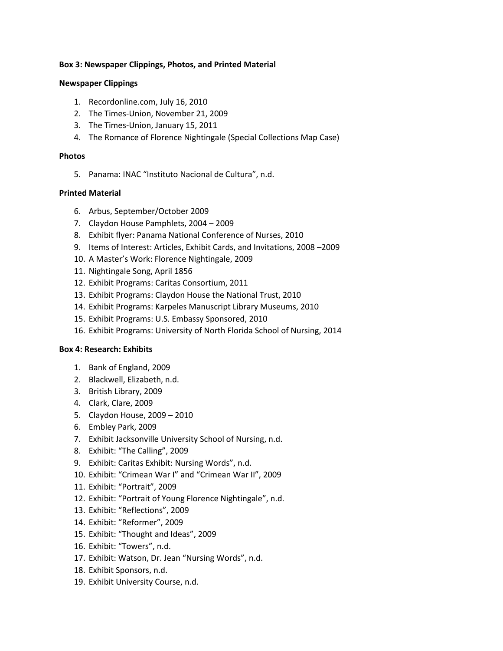## **Box 3: Newspaper Clippings, Photos, and Printed Material**

#### **Newspaper Clippings**

- 1. Recordonline.com, July 16, 2010
- 2. The Times-Union, November 21, 2009
- 3. The Times-Union, January 15, 2011
- 4. The Romance of Florence Nightingale (Special Collections Map Case)

#### **Photos**

5. Panama: INAC "Instituto Nacional de Cultura", n.d.

#### **Printed Material**

- 6. Arbus, September/October 2009
- 7. Claydon House Pamphlets, 2004 2009
- 8. Exhibit flyer: Panama National Conference of Nurses, 2010
- 9. Items of Interest: Articles, Exhibit Cards, and Invitations, 2008 –2009
- 10. A Master's Work: Florence Nightingale, 2009
- 11. Nightingale Song, April 1856
- 12. Exhibit Programs: Caritas Consortium, 2011
- 13. Exhibit Programs: Claydon House the National Trust, 2010
- 14. Exhibit Programs: Karpeles Manuscript Library Museums, 2010
- 15. Exhibit Programs: U.S. Embassy Sponsored, 2010
- 16. Exhibit Programs: University of North Florida School of Nursing, 2014

## **Box 4: Research: Exhibits**

- 1. Bank of England, 2009
- 2. Blackwell, Elizabeth, n.d.
- 3. British Library, 2009
- 4. Clark, Clare, 2009
- 5. Claydon House, 2009 2010
- 6. Embley Park, 2009
- 7. Exhibit Jacksonville University School of Nursing, n.d.
- 8. Exhibit: "The Calling", 2009
- 9. Exhibit: Caritas Exhibit: Nursing Words", n.d.
- 10. Exhibit: "Crimean War I" and "Crimean War II", 2009
- 11. Exhibit: "Portrait", 2009
- 12. Exhibit: "Portrait of Young Florence Nightingale", n.d.
- 13. Exhibit: "Reflections", 2009
- 14. Exhibit: "Reformer", 2009
- 15. Exhibit: "Thought and Ideas", 2009
- 16. Exhibit: "Towers", n.d.
- 17. Exhibit: Watson, Dr. Jean "Nursing Words", n.d.
- 18. Exhibit Sponsors, n.d.
- 19. Exhibit University Course, n.d.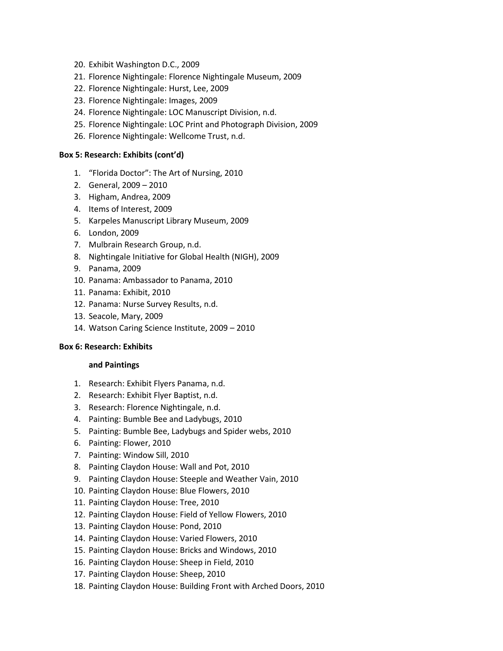- 20. Exhibit Washington D.C., 2009
- 21. Florence Nightingale: Florence Nightingale Museum, 2009
- 22. Florence Nightingale: Hurst, Lee, 2009
- 23. Florence Nightingale: Images, 2009
- 24. Florence Nightingale: LOC Manuscript Division, n.d.
- 25. Florence Nightingale: LOC Print and Photograph Division, 2009
- 26. Florence Nightingale: Wellcome Trust, n.d.

#### **Box 5: Research: Exhibits (cont'd)**

- 1. "Florida Doctor": The Art of Nursing, 2010
- 2. General, 2009 2010
- 3. Higham, Andrea, 2009
- 4. Items of Interest, 2009
- 5. Karpeles Manuscript Library Museum, 2009
- 6. London, 2009
- 7. Mulbrain Research Group, n.d.
- 8. Nightingale Initiative for Global Health (NIGH), 2009
- 9. Panama, 2009
- 10. Panama: Ambassador to Panama, 2010
- 11. Panama: Exhibit, 2010
- 12. Panama: Nurse Survey Results, n.d.
- 13. Seacole, Mary, 2009
- 14. Watson Caring Science Institute, 2009 2010

#### **Box 6: Research: Exhibits**

#### **and Paintings**

- 1. Research: Exhibit Flyers Panama, n.d.
- 2. Research: Exhibit Flyer Baptist, n.d.
- 3. Research: Florence Nightingale, n.d.
- 4. Painting: Bumble Bee and Ladybugs, 2010
- 5. Painting: Bumble Bee, Ladybugs and Spider webs, 2010
- 6. Painting: Flower, 2010
- 7. Painting: Window Sill, 2010
- 8. Painting Claydon House: Wall and Pot, 2010
- 9. Painting Claydon House: Steeple and Weather Vain, 2010
- 10. Painting Claydon House: Blue Flowers, 2010
- 11. Painting Claydon House: Tree, 2010
- 12. Painting Claydon House: Field of Yellow Flowers, 2010
- 13. Painting Claydon House: Pond, 2010
- 14. Painting Claydon House: Varied Flowers, 2010
- 15. Painting Claydon House: Bricks and Windows, 2010
- 16. Painting Claydon House: Sheep in Field, 2010
- 17. Painting Claydon House: Sheep, 2010
- 18. Painting Claydon House: Building Front with Arched Doors, 2010